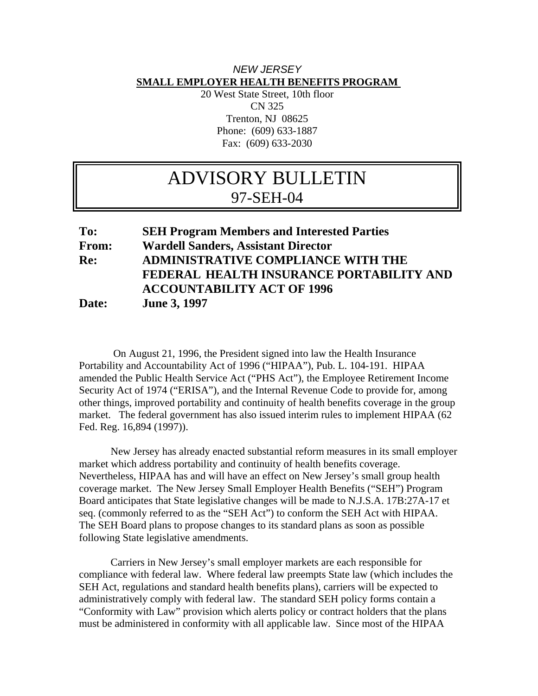## *NEW JERSEY*  **SMALL EMPLOYER HEALTH BENEFITS PROGRAM**

20 West State Street, 10th floor CN 325 Trenton, NJ 08625 Phone: (609) 633-1887 Fax: (609) 633-2030

## ADVISORY BULLETIN 97-SEH-04

## **To: SEH Program Members and Interested Parties From: Wardell Sanders, Assistant Director Re: ADMINISTRATIVE COMPLIANCE WITH THE FEDERAL HEALTH INSURANCE PORTABILITY AND ACCOUNTABILITY ACT OF 1996 Date: June 3, 1997**

 On August 21, 1996, the President signed into law the Health Insurance Portability and Accountability Act of 1996 ("HIPAA"), Pub. L. 104-191. HIPAA amended the Public Health Service Act ("PHS Act"), the Employee Retirement Income Security Act of 1974 ("ERISA"), and the Internal Revenue Code to provide for, among other things, improved portability and continuity of health benefits coverage in the group market. The federal government has also issued interim rules to implement HIPAA (62 Fed. Reg. 16,894 (1997)).

 New Jersey has already enacted substantial reform measures in its small employer market which address portability and continuity of health benefits coverage. Nevertheless, HIPAA has and will have an effect on New Jersey's small group health coverage market. The New Jersey Small Employer Health Benefits ("SEH") Program Board anticipates that State legislative changes will be made to N.J.S.A. 17B:27A-17 et seq. (commonly referred to as the "SEH Act") to conform the SEH Act with HIPAA. The SEH Board plans to propose changes to its standard plans as soon as possible following State legislative amendments.

 Carriers in New Jersey's small employer markets are each responsible for compliance with federal law. Where federal law preempts State law (which includes the SEH Act, regulations and standard health benefits plans), carriers will be expected to administratively comply with federal law. The standard SEH policy forms contain a "Conformity with Law" provision which alerts policy or contract holders that the plans must be administered in conformity with all applicable law. Since most of the HIPAA